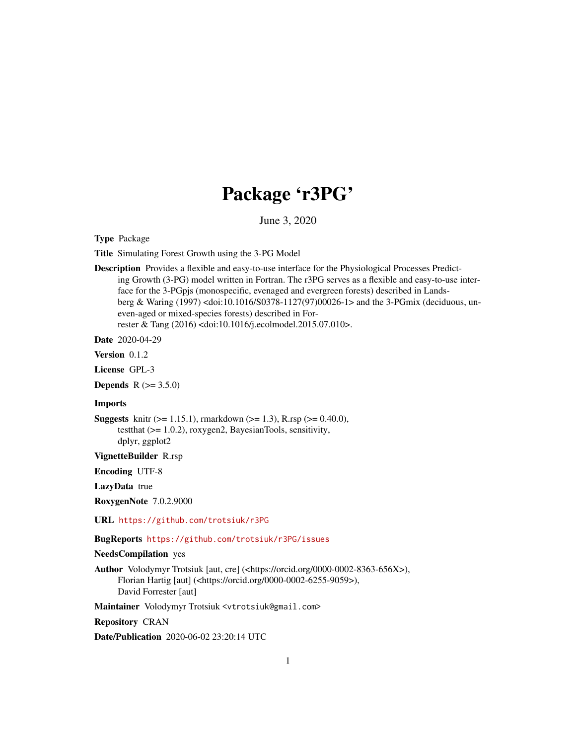## Package 'r3PG'

June 3, 2020

Type Package

Title Simulating Forest Growth using the 3-PG Model

Description Provides a flexible and easy-to-use interface for the Physiological Processes Predicting Growth (3-PG) model written in Fortran. The r3PG serves as a flexible and easy-to-use interface for the 3-PGpjs (monospecific, evenaged and evergreen forests) described in Landsberg & Waring (1997) <doi:10.1016/S0378-1127(97)00026-1> and the 3-PGmix (deciduous, uneven-aged or mixed-species forests) described in Forrester & Tang (2016) <doi:10.1016/j.ecolmodel.2015.07.010>.

Date 2020-04-29

Version 0.1.2

License GPL-3

**Depends**  $R (= 3.5.0)$ 

#### Imports

**Suggests** knitr ( $>= 1.15.1$ ), rmarkdown ( $>= 1.3$ ), R.rsp ( $>= 0.40.0$ ), testthat (>= 1.0.2), roxygen2, BayesianTools, sensitivity, dplyr, ggplot2

VignetteBuilder R.rsp

Encoding UTF-8

LazyData true

RoxygenNote 7.0.2.9000

URL <https://github.com/trotsiuk/r3PG>

BugReports <https://github.com/trotsiuk/r3PG/issues>

## NeedsCompilation yes

Author Volodymyr Trotsiuk [aut, cre] (<https://orcid.org/0000-0002-8363-656X>), Florian Hartig [aut] (<https://orcid.org/0000-0002-6255-9059>), David Forrester [aut]

Maintainer Volodymyr Trotsiuk <vtrotsiuk@gmail.com>

Repository CRAN

Date/Publication 2020-06-02 23:20:14 UTC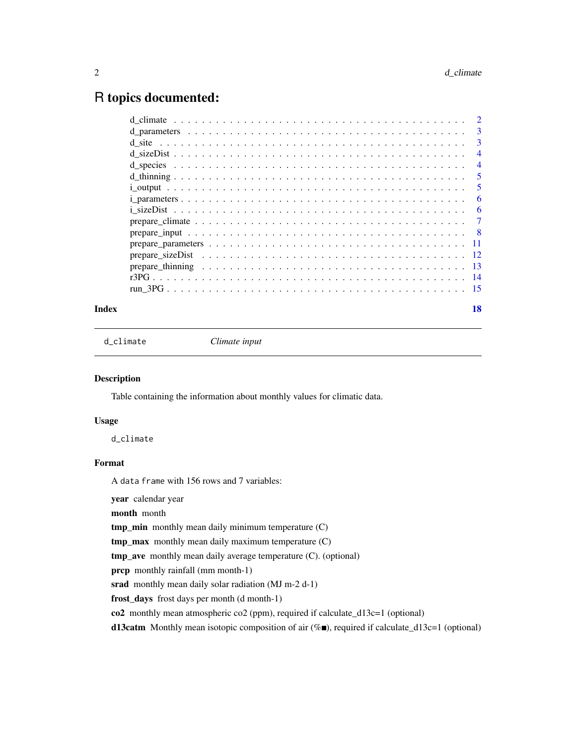## <span id="page-1-0"></span>R topics documented:

|  | 3              |
|--|----------------|
|  | -3             |
|  | $\overline{4}$ |
|  | $\overline{4}$ |
|  | 5              |
|  | 5              |
|  | 6              |
|  | 6              |
|  | 7              |
|  | - 8            |
|  |                |
|  |                |
|  |                |
|  |                |
|  |                |
|  |                |

## **Index** 2008 **[18](#page-17-0)**

<span id="page-1-1"></span>d\_climate *Climate input*

## Description

Table containing the information about monthly values for climatic data.

## Usage

d\_climate

## Format

A data frame with 156 rows and 7 variables:

year calendar year

month month

tmp\_min monthly mean daily minimum temperature (C)

tmp\_max monthly mean daily maximum temperature (C)

tmp\_ave monthly mean daily average temperature (C). (optional)

prcp monthly rainfall (mm month-1)

srad monthly mean daily solar radiation (MJ m-2 d-1)

frost\_days frost days per month (d month-1)

co2 monthly mean atmospheric co2 (ppm), required if calculate\_d13c=1 (optional)

d13catm Monthly mean isotopic composition of air  $(\%$ ), required if calculate\_d13c=1 (optional)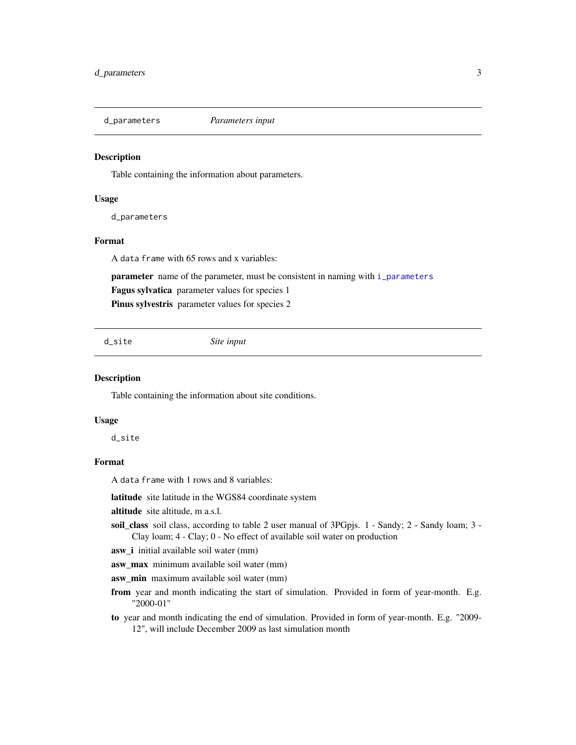<span id="page-2-1"></span><span id="page-2-0"></span>

Table containing the information about parameters.

#### Usage

d\_parameters

#### Format

A data frame with 65 rows and x variables:

parameter name of the parameter, must be consistent in naming with [i\\_parameters](#page-5-1)

Fagus sylvatica parameter values for species 1

Pinus sylvestris parameter values for species 2

d\_site *Site input*

## Description

Table containing the information about site conditions.

#### Usage

d\_site

## Format

A data frame with 1 rows and 8 variables:

latitude site latitude in the WGS84 coordinate system

altitude site altitude, m a.s.l.

soil\_class soil class, according to table 2 user manual of 3PGpjs. 1 - Sandy; 2 - Sandy loam; 3 - Clay loam; 4 - Clay; 0 - No effect of available soil water on production

asw\_i initial available soil water (mm)

asw\_max minimum available soil water (mm)

asw\_min maximum available soil water (mm)

- from year and month indicating the start of simulation. Provided in form of year-month. E.g. "2000-01"
- to year and month indicating the end of simulation. Provided in form of year-month. E.g. "2009- 12", will include December 2009 as last simulation month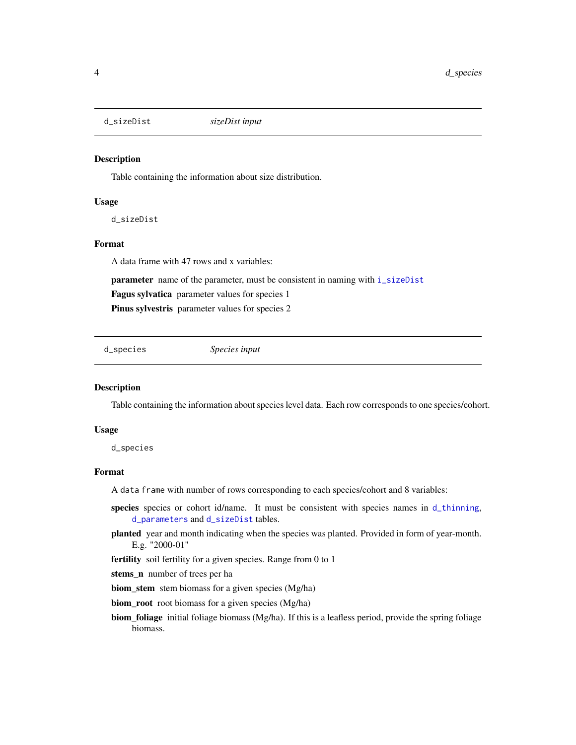<span id="page-3-1"></span><span id="page-3-0"></span>d\_sizeDist *sizeDist input*

#### Description

Table containing the information about size distribution.

#### Usage

d\_sizeDist

## Format

A data frame with 47 rows and x variables:

parameter name of the parameter, must be consistent in naming with [i\\_sizeDist](#page-5-2)

Fagus sylvatica parameter values for species 1

Pinus sylvestris parameter values for species 2

<span id="page-3-2"></span>d\_species *Species input*

## Description

Table containing the information about species level data. Each row corresponds to one species/cohort.

#### Usage

d\_species

## Format

A data frame with number of rows corresponding to each species/cohort and 8 variables:

- species species or cohort id/name. It must be consistent with species names in [d\\_thinning](#page-4-1), [d\\_parameters](#page-2-1) and [d\\_sizeDist](#page-3-1) tables.
- planted year and month indicating when the species was planted. Provided in form of year-month. E.g. "2000-01"
- fertility soil fertility for a given species. Range from 0 to 1
- stems\_n number of trees per ha

biom\_stem stem biomass for a given species (Mg/ha)

biom\_root root biomass for a given species (Mg/ha)

biom\_foliage initial foliage biomass (Mg/ha). If this is a leafless period, provide the spring foliage biomass.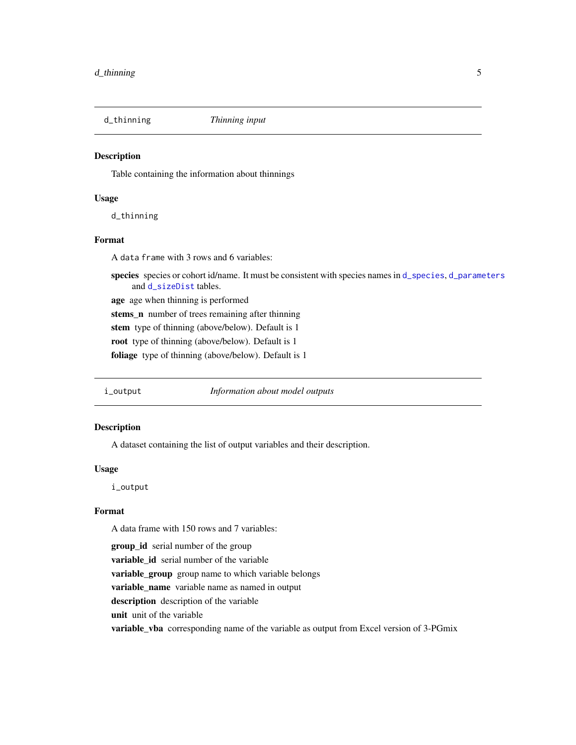<span id="page-4-1"></span><span id="page-4-0"></span>

Table containing the information about thinnings

#### Usage

d\_thinning

#### Format

A data frame with 3 rows and 6 variables:

species species or cohort id/name. It must be consistent with species names in [d\\_species](#page-3-2), [d\\_parameters](#page-2-1) and [d\\_sizeDist](#page-3-1) tables.

age age when thinning is performed stems\_n number of trees remaining after thinning

stem type of thinning (above/below). Default is 1

root type of thinning (above/below). Default is 1

foliage type of thinning (above/below). Default is 1

<span id="page-4-2"></span>

i\_output *Information about model outputs*

#### Description

A dataset containing the list of output variables and their description.

#### Usage

i\_output

### Format

A data frame with 150 rows and 7 variables:

group\_id serial number of the group

variable id serial number of the variable

variable\_group group name to which variable belongs

variable\_name variable name as named in output

description description of the variable

unit unit of the variable

**variable\_vba** corresponding name of the variable as output from Excel version of 3-PGmix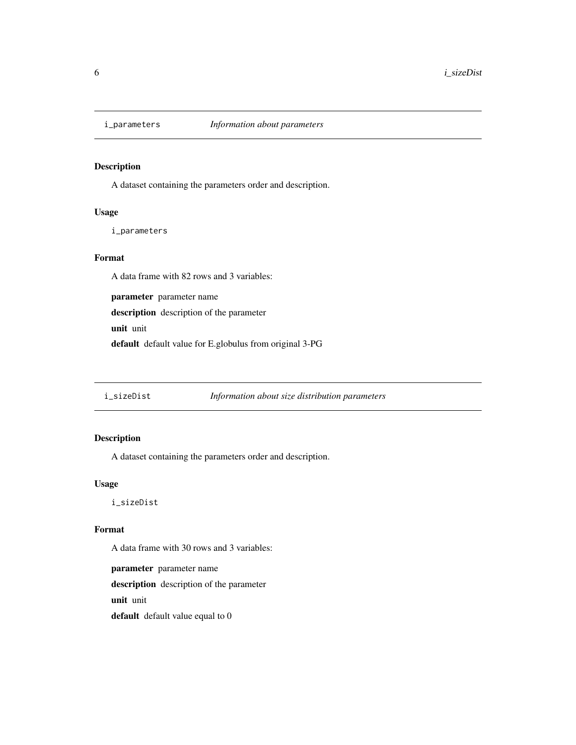<span id="page-5-1"></span><span id="page-5-0"></span>

A dataset containing the parameters order and description.

## Usage

i\_parameters

## Format

A data frame with 82 rows and 3 variables:

parameter parameter name description description of the parameter unit unit

default default value for E.globulus from original 3-PG

<span id="page-5-2"></span>i\_sizeDist *Information about size distribution parameters*

## Description

A dataset containing the parameters order and description.

## Usage

i\_sizeDist

## Format

A data frame with 30 rows and 3 variables:

parameter parameter name description description of the parameter unit unit default default value equal to 0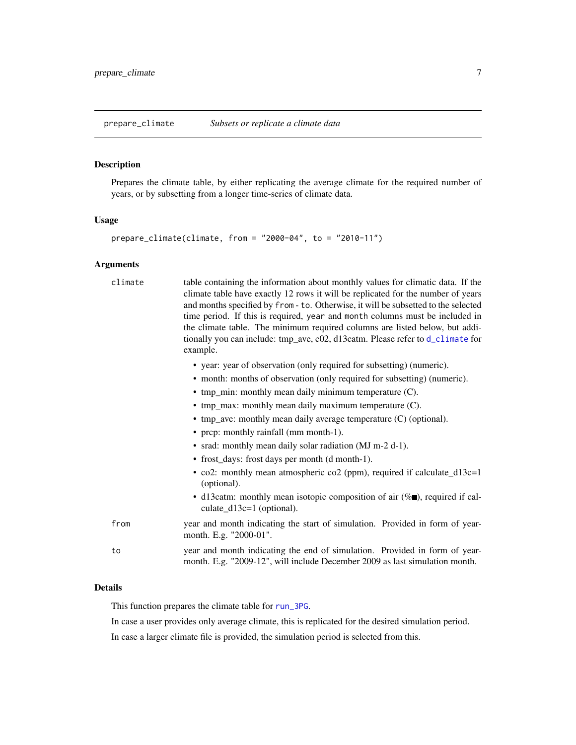<span id="page-6-1"></span><span id="page-6-0"></span>prepare\_climate *Subsets or replicate a climate data*

#### **Description**

Prepares the climate table, by either replicating the average climate for the required number of years, or by subsetting from a longer time-series of climate data.

#### Usage

```
prepare_climate(climate, from = "2000-04", to = "2010-11")
```
#### Arguments

climate table containing the information about monthly values for climatic data. If the climate table have exactly 12 rows it will be replicated for the number of years and months specified by from - to. Otherwise, it will be subsetted to the selected time period. If this is required, year and month columns must be included in the climate table. The minimum required columns are listed below, but additionally you can include: tmp\_ave, c02, d13catm. Please refer to [d\\_climate](#page-1-1) for example.

- year: year of observation (only required for subsetting) (numeric).
- month: months of observation (only required for subsetting) (numeric).
- tmp\_min: monthly mean daily minimum temperature (C).
- tmp\_max: monthly mean daily maximum temperature (C).
- tmp\_ave: monthly mean daily average temperature (C) (optional).
- prcp: monthly rainfall (mm month-1).
- srad: monthly mean daily solar radiation (MJ m-2 d-1).
- frost\_days: frost days per month (d month-1).
- co2: monthly mean atmospheric co2 (ppm), required if calculate\_d13c=1 (optional).
- d13catm: monthly mean isotopic composition of air  $(\%$ , required if calculate\_d13c=1 (optional).
- from year and month indicating the start of simulation. Provided in form of yearmonth. E.g. "2000-01".
- to year and month indicating the end of simulation. Provided in form of yearmonth. E.g. "2009-12", will include December 2009 as last simulation month.

#### Details

This function prepares the climate table for [run\\_3PG](#page-14-1).

In case a user provides only average climate, this is replicated for the desired simulation period.

In case a larger climate file is provided, the simulation period is selected from this.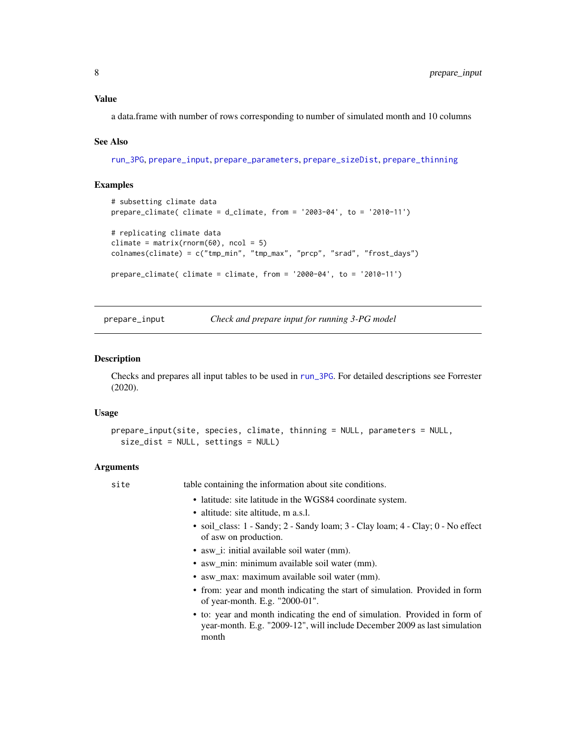## <span id="page-7-0"></span>Value

a data.frame with number of rows corresponding to number of simulated month and 10 columns

#### See Also

[run\\_3PG](#page-14-1), [prepare\\_input](#page-7-1), [prepare\\_parameters](#page-10-1), [prepare\\_sizeDist](#page-11-1), [prepare\\_thinning](#page-12-1)

#### Examples

```
# subsetting climate data
prepare_climate( climate = d_climate, from = '2003-04', to = '2010-11')
# replicating climate data
climate = matrix(rnorm(60), ncol = 5)
colnames(climate) = c("tmp_min", "tmp_max", "prcp", "srad", "frost_days")
prepare_climate( climate = climate, from = '2000-04', to = '2010-11')
```
<span id="page-7-1"></span>

prepare\_input *Check and prepare input for running 3-PG model*

#### Description

Checks and prepares all input tables to be used in [run\\_3PG](#page-14-1). For detailed descriptions see Forrester (2020).

#### Usage

```
prepare_input(site, species, climate, thinning = NULL, parameters = NULL,
  size_dist = NULL, settings = NULL)
```
#### Arguments

site table containing the information about site conditions.

- latitude: site latitude in the WGS84 coordinate system.
- altitude: site altitude, m a.s.l.
- soil\_class: 1 Sandy; 2 Sandy loam; 3 Clay loam; 4 Clay; 0 No effect of asw on production.
- asw\_i: initial available soil water (mm).
- asw\_min: minimum available soil water (mm).
- asw\_max: maximum available soil water (mm).
- from: year and month indicating the start of simulation. Provided in form of year-month. E.g. "2000-01".
- to: year and month indicating the end of simulation. Provided in form of year-month. E.g. "2009-12", will include December 2009 as last simulation month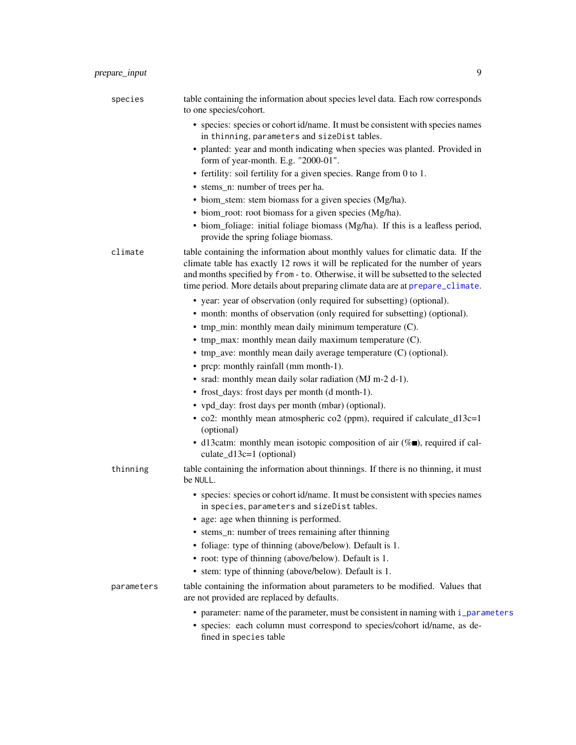<span id="page-8-0"></span>

| species    | table containing the information about species level data. Each row corresponds<br>to one species/cohort.                                                                                                                                                                                                                                  |
|------------|--------------------------------------------------------------------------------------------------------------------------------------------------------------------------------------------------------------------------------------------------------------------------------------------------------------------------------------------|
|            | • species: species or cohort id/name. It must be consistent with species names<br>in thinning, parameters and sizeDist tables.                                                                                                                                                                                                             |
|            | • planted: year and month indicating when species was planted. Provided in<br>form of year-month. E.g. "2000-01".                                                                                                                                                                                                                          |
|            | • fertility: soil fertility for a given species. Range from 0 to 1.                                                                                                                                                                                                                                                                        |
|            | • stems_n: number of trees per ha.                                                                                                                                                                                                                                                                                                         |
|            | • biom_stem: stem biomass for a given species (Mg/ha).                                                                                                                                                                                                                                                                                     |
|            | • biom_root: root biomass for a given species (Mg/ha).                                                                                                                                                                                                                                                                                     |
|            | • biom_foliage: initial foliage biomass (Mg/ha). If this is a leafless period,<br>provide the spring foliage biomass.                                                                                                                                                                                                                      |
| climate    | table containing the information about monthly values for climatic data. If the<br>climate table has exactly 12 rows it will be replicated for the number of years<br>and months specified by from - to. Otherwise, it will be subsetted to the selected<br>time period. More details about preparing climate data are at prepare_climate. |
|            | • year: year of observation (only required for subsetting) (optional).                                                                                                                                                                                                                                                                     |
|            | • month: months of observation (only required for subsetting) (optional).                                                                                                                                                                                                                                                                  |
|            | • tmp_min: monthly mean daily minimum temperature (C).                                                                                                                                                                                                                                                                                     |
|            | • tmp_max: monthly mean daily maximum temperature (C).                                                                                                                                                                                                                                                                                     |
|            | • tmp_ave: monthly mean daily average temperature (C) (optional).                                                                                                                                                                                                                                                                          |
|            | • prcp: monthly rainfall (mm month-1).                                                                                                                                                                                                                                                                                                     |
|            | • srad: monthly mean daily solar radiation (MJ m-2 d-1).                                                                                                                                                                                                                                                                                   |
|            | • frost_days: frost days per month (d month-1).                                                                                                                                                                                                                                                                                            |
|            | • vpd_day: frost days per month (mbar) (optional).                                                                                                                                                                                                                                                                                         |
|            | • co2: monthly mean atmospheric co2 (ppm), required if calculate_d13c=1<br>(optional)                                                                                                                                                                                                                                                      |
|            | • d13catm: monthly mean isotopic composition of air $(\% \blacksquare)$ , required if cal-<br>culate_d13c=1 (optional)                                                                                                                                                                                                                     |
| thinning   | table containing the information about thinnings. If there is no thinning, it must<br>be NULL.                                                                                                                                                                                                                                             |
|            | • species: species or cohort id/name. It must be consistent with species names<br>in species, parameters and sizeDist tables.                                                                                                                                                                                                              |
|            | • age: age when thinning is performed.                                                                                                                                                                                                                                                                                                     |
|            | • stems_n: number of trees remaining after thinning                                                                                                                                                                                                                                                                                        |
|            | • foliage: type of thinning (above/below). Default is 1.                                                                                                                                                                                                                                                                                   |
|            | • root: type of thinning (above/below). Default is 1.                                                                                                                                                                                                                                                                                      |
|            | • stem: type of thinning (above/below). Default is 1.                                                                                                                                                                                                                                                                                      |
| parameters | table containing the information about parameters to be modified. Values that                                                                                                                                                                                                                                                              |

• parameter: name of the parameter, must be consistent in naming with [i\\_parameters](#page-5-1) • species: each column must correspond to species/cohort id/name, as defined in species table

are not provided are replaced by defaults.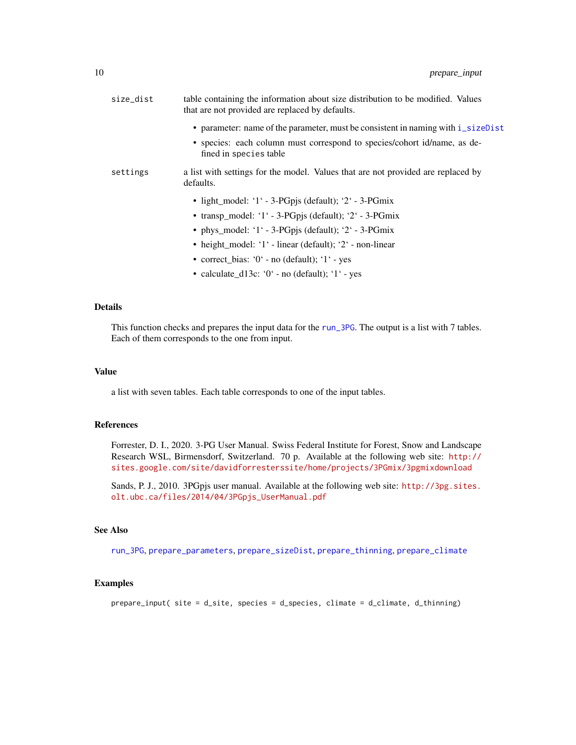<span id="page-9-0"></span>

| size_dist | table containing the information about size distribution to be modified. Values<br>that are not provided are replaced by defaults. |
|-----------|------------------------------------------------------------------------------------------------------------------------------------|
|           | • parameter: name of the parameter, must be consistent in naming with i_sizeDist                                                   |
|           | • species: each column must correspond to species/cohort id/name, as de-<br>fined in species table                                 |
| settings  | a list with settings for the model. Values that are not provided are replaced by<br>defaults.                                      |
|           | • light_model: '1' - 3-PGpjs (default); '2' - 3-PGmix                                                                              |
|           | • transp_model: '1' - 3-PGpjs (default); '2' - 3-PGmix                                                                             |
|           | • phys_model: '1' - 3-PGpjs (default); '2' - 3-PGmix                                                                               |
|           | • height_model: '1' - linear (default); '2' - non-linear                                                                           |
|           | • correct_bias: $0^\circ$ - no (default); $1^\circ$ - yes                                                                          |
|           | • calculate_d13c: $0'$ - no (default); $1'$ - yes                                                                                  |

## Details

This function checks and prepares the input data for the [run\\_3PG](#page-14-1). The output is a list with 7 tables. Each of them corresponds to the one from input.

#### Value

a list with seven tables. Each table corresponds to one of the input tables.

## References

Forrester, D. I., 2020. 3-PG User Manual. Swiss Federal Institute for Forest, Snow and Landscape Research WSL, Birmensdorf, Switzerland. 70 p. Available at the following web site: [http://](http://sites.google.com/site/davidforresterssite/home/projects/3PGmix/3pgmixdownload) [sites.google.com/site/davidforresterssite/home/projects/3PGmix/3pgmixdownload](http://sites.google.com/site/davidforresterssite/home/projects/3PGmix/3pgmixdownload)

Sands, P. J., 2010. 3PGpjs user manual. Available at the following web site: [http://3pg.sites.](http://3pg.sites.olt.ubc.ca/files/2014/04/3PGpjs_UserManual.pdf) [olt.ubc.ca/files/2014/04/3PGpjs\\_UserManual.pdf](http://3pg.sites.olt.ubc.ca/files/2014/04/3PGpjs_UserManual.pdf)

## See Also

[run\\_3PG](#page-14-1), [prepare\\_parameters](#page-10-1), [prepare\\_sizeDist](#page-11-1), [prepare\\_thinning](#page-12-1), [prepare\\_climate](#page-6-1)

#### Examples

prepare\_input( site = d\_site, species = d\_species, climate = d\_climate, d\_thinning)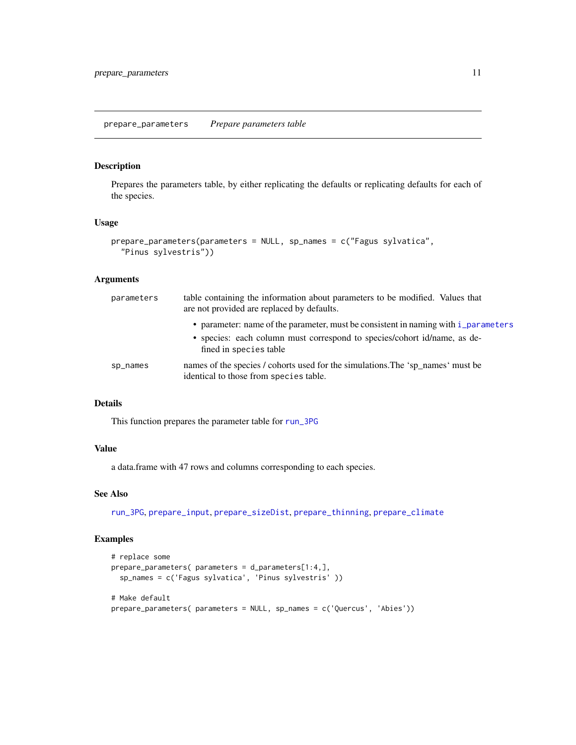#### <span id="page-10-1"></span><span id="page-10-0"></span>prepare\_parameters *Prepare parameters table*

## Description

Prepares the parameters table, by either replicating the defaults or replicating defaults for each of the species.

#### Usage

```
prepare_parameters(parameters = NULL, sp_names = c("Fagus sylvatica",
  "Pinus sylvestris"))
```
## Arguments

| parameters | table containing the information about parameters to be modified. Values that<br>are not provided are replaced by defaults.                                                              |
|------------|------------------------------------------------------------------------------------------------------------------------------------------------------------------------------------------|
|            | • parameter: name of the parameter, must be consistent in naming with i parameters<br>• species: each column must correspond to species/cohort id/name, as de-<br>fined in species table |
| sp_names   | names of the species / cohorts used for the simulations. The 'sp_names' must be<br>identical to those from species table.                                                                |

## Details

This function prepares the parameter table for [run\\_3PG](#page-14-1)

## Value

a data.frame with 47 rows and columns corresponding to each species.

## See Also

[run\\_3PG](#page-14-1), [prepare\\_input](#page-7-1), [prepare\\_sizeDist](#page-11-1), [prepare\\_thinning](#page-12-1), [prepare\\_climate](#page-6-1)

```
# replace some
prepare_parameters( parameters = d_parameters[1:4,],
  sp_names = c('Fagus sylvatica', 'Pinus sylvestris' ))
# Make default
prepare_parameters( parameters = NULL, sp_names = c('Quercus', 'Abies'))
```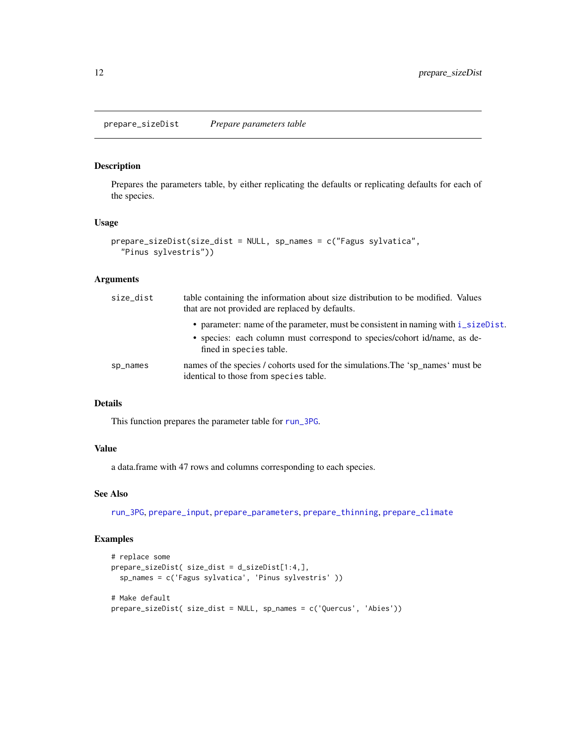<span id="page-11-1"></span><span id="page-11-0"></span>Prepares the parameters table, by either replicating the defaults or replicating defaults for each of the species.

#### Usage

```
prepare_sizeDist(size_dist = NULL, sp_names = c("Fagus sylvatica",
  "Pinus sylvestris"))
```
## Arguments

| size_dist | table containing the information about size distribution to be modified. Values<br>that are not provided are replaced by defaults.                                                       |
|-----------|------------------------------------------------------------------------------------------------------------------------------------------------------------------------------------------|
|           | • parameter: name of the parameter, must be consistent in naming with i_sizeDist.<br>• species: each column must correspond to species/cohort id/name, as de-<br>fined in species table. |
| sp_names  | names of the species / cohorts used for the simulations. The 'sp names' must be<br>identical to those from species table.                                                                |

## Details

This function prepares the parameter table for [run\\_3PG](#page-14-1).

## Value

a data.frame with 47 rows and columns corresponding to each species.

#### See Also

[run\\_3PG](#page-14-1), [prepare\\_input](#page-7-1), [prepare\\_parameters](#page-10-1), [prepare\\_thinning](#page-12-1), [prepare\\_climate](#page-6-1)

```
# replace some
prepare_sizeDist( size_dist = d_sizeDist[1:4,],
  sp_names = c('Fagus sylvatica', 'Pinus sylvestris' ))
# Make default
prepare_sizeDist( size_dist = NULL, sp_names = c('Quercus', 'Abies'))
```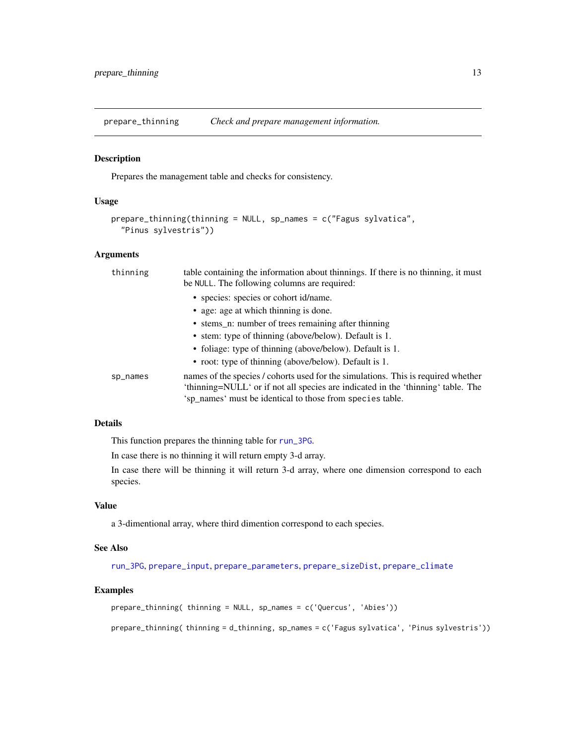<span id="page-12-1"></span><span id="page-12-0"></span>prepare\_thinning *Check and prepare management information.*

#### Description

Prepares the management table and checks for consistency.

#### Usage

```
prepare_thinning(thinning = NULL, sp_names = c("Fagus sylvatica",
  "Pinus sylvestris"))
```
## Arguments

| thinning | table containing the information about thinnings. If there is no thinning, it must<br>be NULL. The following columns are required:                                                                                                 |
|----------|------------------------------------------------------------------------------------------------------------------------------------------------------------------------------------------------------------------------------------|
|          | • species: species or cohort id/name.                                                                                                                                                                                              |
|          | • age: age at which thinning is done.                                                                                                                                                                                              |
|          | • stems n: number of trees remaining after thinning                                                                                                                                                                                |
|          | • stem: type of thinning (above/below). Default is 1.                                                                                                                                                                              |
|          | • foliage: type of thinning (above/below). Default is 1.                                                                                                                                                                           |
|          | • root: type of thinning (above/below). Default is 1.                                                                                                                                                                              |
| sp_names | names of the species / cohorts used for the simulations. This is required whether<br>'thinning=NULL' or if not all species are indicated in the 'thinning' table. The<br>'sp_names' must be identical to those from species table. |
|          |                                                                                                                                                                                                                                    |

## Details

This function prepares the thinning table for [run\\_3PG](#page-14-1).

In case there is no thinning it will return empty 3-d array.

In case there will be thinning it will return 3-d array, where one dimension correspond to each species.

## Value

a 3-dimentional array, where third dimention correspond to each species.

#### See Also

[run\\_3PG](#page-14-1), [prepare\\_input](#page-7-1), [prepare\\_parameters](#page-10-1), [prepare\\_sizeDist](#page-11-1), [prepare\\_climate](#page-6-1)

#### Examples

```
prepare_thinning( thinning = NULL, sp_names = c('Quercus', 'Abies'))
```
prepare\_thinning( thinning = d\_thinning, sp\_names = c('Fagus sylvatica', 'Pinus sylvestris'))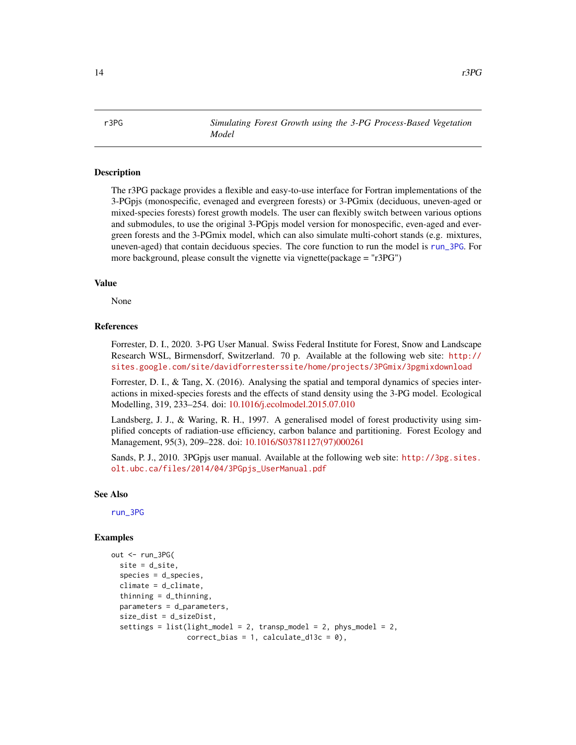<span id="page-13-0"></span>r3PG *Simulating Forest Growth using the 3-PG Process-Based Vegetation Model*

#### Description

The r3PG package provides a flexible and easy-to-use interface for Fortran implementations of the 3-PGpjs (monospecific, evenaged and evergreen forests) or 3-PGmix (deciduous, uneven-aged or mixed-species forests) forest growth models. The user can flexibly switch between various options and submodules, to use the original 3-PGpjs model version for monospecific, even-aged and evergreen forests and the 3-PGmix model, which can also simulate multi-cohort stands (e.g. mixtures, uneven-aged) that contain deciduous species. The core function to run the model is [run\\_3PG](#page-14-1). For more background, please consult the vignette via vignette(package = "r3PG")

#### Value

None

#### References

Forrester, D. I., 2020. 3-PG User Manual. Swiss Federal Institute for Forest, Snow and Landscape Research WSL, Birmensdorf, Switzerland. 70 p. Available at the following web site: [http://](http://sites.google.com/site/davidforresterssite/home/projects/3PGmix/3pgmixdownload) [sites.google.com/site/davidforresterssite/home/projects/3PGmix/3pgmixdownload](http://sites.google.com/site/davidforresterssite/home/projects/3PGmix/3pgmixdownload)

Forrester, D. I., & Tang, X. (2016). Analysing the spatial and temporal dynamics of species interactions in mixed-species forests and the effects of stand density using the 3-PG model. Ecological Modelling, 319, 233–254. doi: [10.1016/j.ecolmodel.2015.07.010](https://doi.org/10.1016/j.ecolmodel.2015.07.010)

Landsberg, J. J., & Waring, R. H., 1997. A generalised model of forest productivity using simplified concepts of radiation-use efficiency, carbon balance and partitioning. Forest Ecology and Management, 95(3), 209–228. doi: [10.1016/S03781127\(97\)000261](https://doi.org/10.1016/S0378-1127(97)00026-1)

Sands, P. J., 2010. 3PGpjs user manual. Available at the following web site: [http://3pg.sites.](http://3pg.sites.olt.ubc.ca/files/2014/04/3PGpjs_UserManual.pdf) [olt.ubc.ca/files/2014/04/3PGpjs\\_UserManual.pdf](http://3pg.sites.olt.ubc.ca/files/2014/04/3PGpjs_UserManual.pdf)

#### See Also

[run\\_3PG](#page-14-1)

```
out <- run_3PG(
 site = d_site,
 species = d_species,
 climate = d_climate,
 thinning = d_{\text{thinning}},
 parameters = d_parameters,
 size_dist = d_sizeDist,
 settings = list(light_model = 2, transp_model = 2, phys_model = 2,correct\_bias = 1, calculate_d13c = 0),
```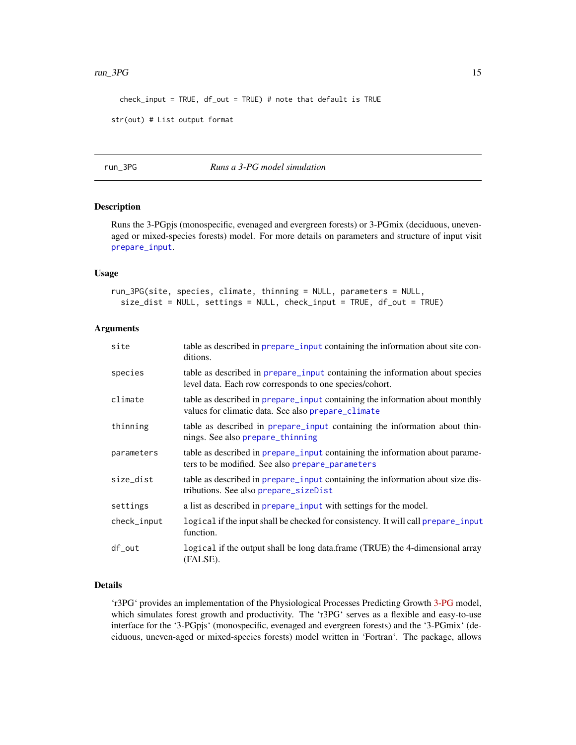#### <span id="page-14-0"></span> $run\_3PG$  15

check\_input = TRUE, df\_out = TRUE) # note that default is TRUE

```
str(out) # List output format
```
## <span id="page-14-1"></span>run\_3PG *Runs a 3-PG model simulation*

## Description

Runs the 3-PGpjs (monospecific, evenaged and evergreen forests) or 3-PGmix (deciduous, unevenaged or mixed-species forests) model. For more details on parameters and structure of input visit [prepare\\_input](#page-7-1).

#### Usage

run\_3PG(site, species, climate, thinning = NULL, parameters = NULL, size\_dist = NULL, settings = NULL, check\_input = TRUE, df\_out = TRUE)

#### Arguments

| site        | table as described in prepare input containing the information about site con-<br>ditions.                                              |
|-------------|-----------------------------------------------------------------------------------------------------------------------------------------|
| species     | table as described in prepare input containing the information about species<br>level data. Each row corresponds to one species/cohort. |
| climate     | table as described in prepare input containing the information about monthly<br>values for climatic data. See also prepare_climate      |
| thinning    | table as described in prepare_input containing the information about thin-<br>nings. See also prepare_thinning                          |
| parameters  | table as described in prepare_input containing the information about parame-<br>ters to be modified. See also prepare_parameters        |
| size_dist   | table as described in prepare_input containing the information about size dis-<br>tributions. See also prepare_sizeDist                 |
| settings    | a list as described in <b>prepare_input</b> with settings for the model.                                                                |
| check_input | logical if the input shall be checked for consistency. It will call prepare input<br>function.                                          |
| df_out      | logical if the output shall be long data.frame (TRUE) the 4-dimensional array<br>(FALSE).                                               |

## Details

'r3PG' provides an implementation of the Physiological Processes Predicting Growth [3-PG](https://3pg.forestry.ubc.ca) model, which simulates forest growth and productivity. The 'r3PG' serves as a flexible and easy-to-use interface for the '3-PGpjs' (monospecific, evenaged and evergreen forests) and the '3-PGmix' (deciduous, uneven-aged or mixed-species forests) model written in 'Fortran'. The package, allows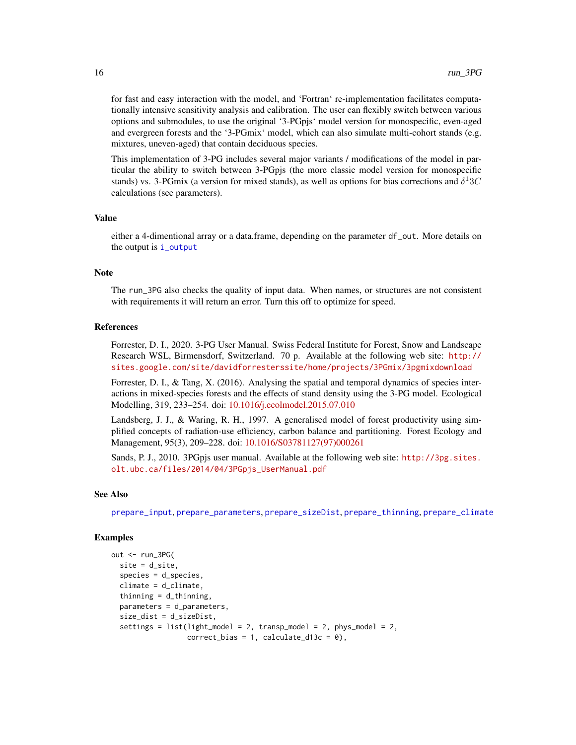for fast and easy interaction with the model, and 'Fortran' re-implementation facilitates computationally intensive sensitivity analysis and calibration. The user can flexibly switch between various options and submodules, to use the original '3-PGpjs' model version for monospecific, even-aged and evergreen forests and the '3-PGmix' model, which can also simulate multi-cohort stands (e.g. mixtures, uneven-aged) that contain deciduous species.

This implementation of 3-PG includes several major variants / modifications of the model in particular the ability to switch between 3-PGpjs (the more classic model version for monospecific stands) vs. 3-PGmix (a version for mixed stands), as well as options for bias corrections and  $\delta^1 3C$ calculations (see parameters).

#### Value

either a 4-dimentional array or a data.frame, depending on the parameter df\_out. More details on the output is [i\\_output](#page-4-2)

### Note

The run\_3PG also checks the quality of input data. When names, or structures are not consistent with requirements it will return an error. Turn this off to optimize for speed.

#### References

Forrester, D. I., 2020. 3-PG User Manual. Swiss Federal Institute for Forest, Snow and Landscape Research WSL, Birmensdorf, Switzerland. 70 p. Available at the following web site: [http://](http://sites.google.com/site/davidforresterssite/home/projects/3PGmix/3pgmixdownload) [sites.google.com/site/davidforresterssite/home/projects/3PGmix/3pgmixdownload](http://sites.google.com/site/davidforresterssite/home/projects/3PGmix/3pgmixdownload)

Forrester, D. I., & Tang, X. (2016). Analysing the spatial and temporal dynamics of species interactions in mixed-species forests and the effects of stand density using the 3-PG model. Ecological Modelling, 319, 233–254. doi: [10.1016/j.ecolmodel.2015.07.010](https://doi.org/10.1016/j.ecolmodel.2015.07.010)

Landsberg, J. J., & Waring, R. H., 1997. A generalised model of forest productivity using simplified concepts of radiation-use efficiency, carbon balance and partitioning. Forest Ecology and Management, 95(3), 209–228. doi: [10.1016/S03781127\(97\)000261](https://doi.org/10.1016/S0378-1127(97)00026-1)

Sands, P. J., 2010. 3PGpjs user manual. Available at the following web site: [http://3pg.sites.](http://3pg.sites.olt.ubc.ca/files/2014/04/3PGpjs_UserManual.pdf) [olt.ubc.ca/files/2014/04/3PGpjs\\_UserManual.pdf](http://3pg.sites.olt.ubc.ca/files/2014/04/3PGpjs_UserManual.pdf)

## See Also

[prepare\\_input](#page-7-1), [prepare\\_parameters](#page-10-1), [prepare\\_sizeDist](#page-11-1), [prepare\\_thinning](#page-12-1), [prepare\\_climate](#page-6-1)

```
out <- run_3PG(
 site = d_site,
 species = d_species,
 climate = d_climate,
 thinning = d_{\text{thinning}},
 parameters = d_parameters,
 size_dist = d_sizeDist,
 settings = list(light_model = 2, transp_model = 2, phys_model = 2,correct\_bias = 1, calculate_d13c = 0),
```
<span id="page-15-0"></span>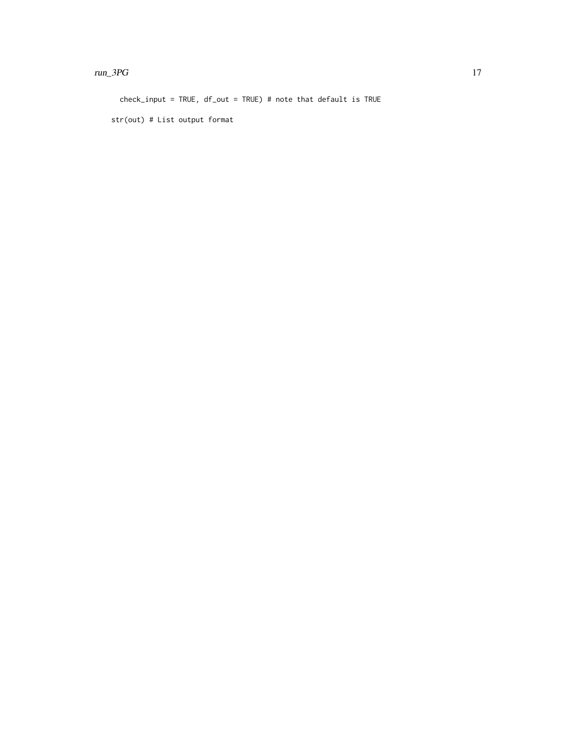#### $run\_3PG$   $17$

check\_input = TRUE, df\_out = TRUE) # note that default is TRUE

str(out) # List output format